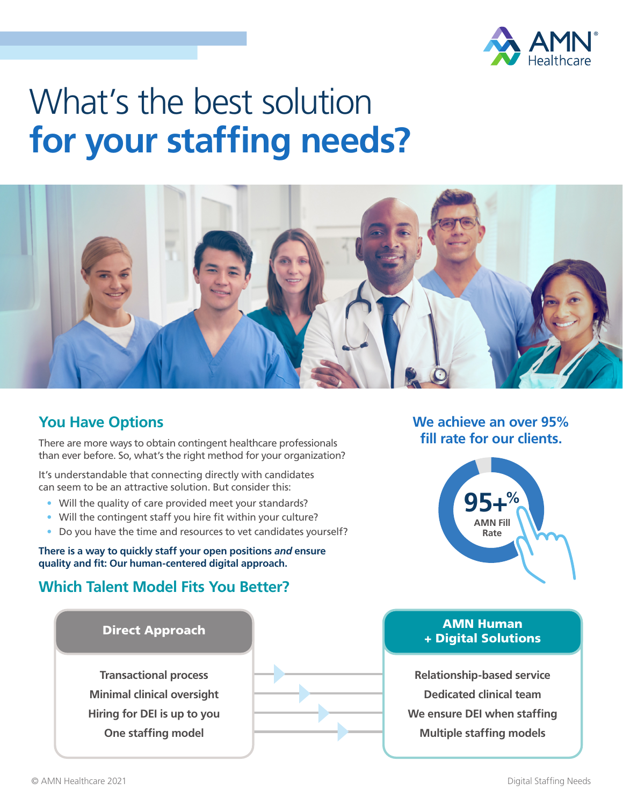

# What's the best solution **for your staffing needs?**



## **You Have Options**

There are more ways to obtain contingent healthcare professionals than ever before. So, what's the right method for your organization?

It's understandable that connecting directly with candidates can seem to be an attractive solution. But consider this:

- Will the quality of care provided meet your standards?
- Will the contingent staff you hire fit within your culture?
- Do you have the time and resources to vet candidates yourself?

**There is a way to quickly staff your open positions** *and* **ensure quality and fit: Our human-centered digital approach.** 

## **Which Talent Model Fits You Better?**



#### **We achieve an over 95% fill rate for our clients.**



#### AMN Human + Digital Solutions

**Relationship-based service Dedicated clinical team We ensure DEI when staffing Multiple staffing models**